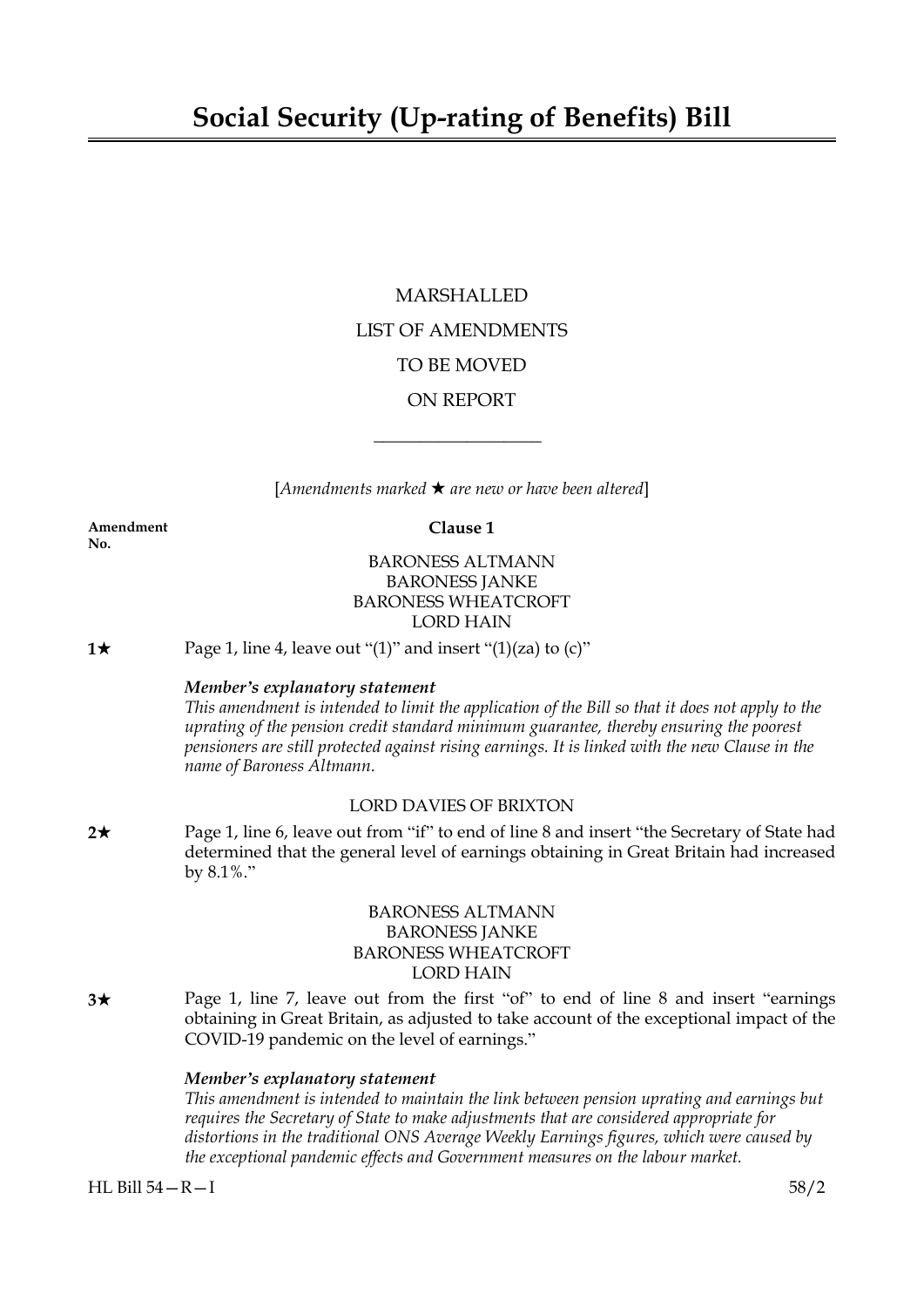# MARSHALLED LIST OF AMENDMENTS TO BE MOVED ON REPORT

[*Amendments marked* \* *are new or have been altered*]

 $\overline{\phantom{a}}$  , where  $\overline{\phantom{a}}$ 

**Amendment Clause 1 No.**

## BARONESS ALTMANN BARONESS JANKE BARONESS WHEATCROFT LORD HAIN

**1** $\star$  Page 1, line 4, leave out "(1)" and insert "(1)(za) to (c)"

#### *Member's explanatory statement*

This amendment is intended to limit the application of the Bill so that it does not apply to the *uprating of the pension credit standard minimum guarantee, thereby ensuring the poorest pensioners are still protected against rising earnings. It is linked with the new Clause in the name of Baroness Altmann.*

## LORD DAVIES OF BRIXTON

**2★** Page 1, line 6, leave out from "if" to end of line 8 and insert "the Secretary of State had determined that the general level of earnings obtaining in Great Britain had increased by 8.1%."

## BARONESS ALTMANN BARONESS JANKE BARONESS WHEATCROFT LORD HAIN

**3**\* Page 1, line 7, leave out from the first "of" to end of line 8 and insert "earnings obtaining in Great Britain, as adjusted to take account of the exceptional impact of the COVID-19 pandemic on the level of earnings."

#### *Member's explanatory statement*

*This amendment is intended to maintain the link between pension uprating and earnings but requires the Secretary of State to make adjustments that are considered appropriate for distortions in the traditional ONS Average Weekly Earnings figures, which were caused by the exceptional pandemic effects and Government measures on the labour market.*

HL Bill 54—R—I 58/2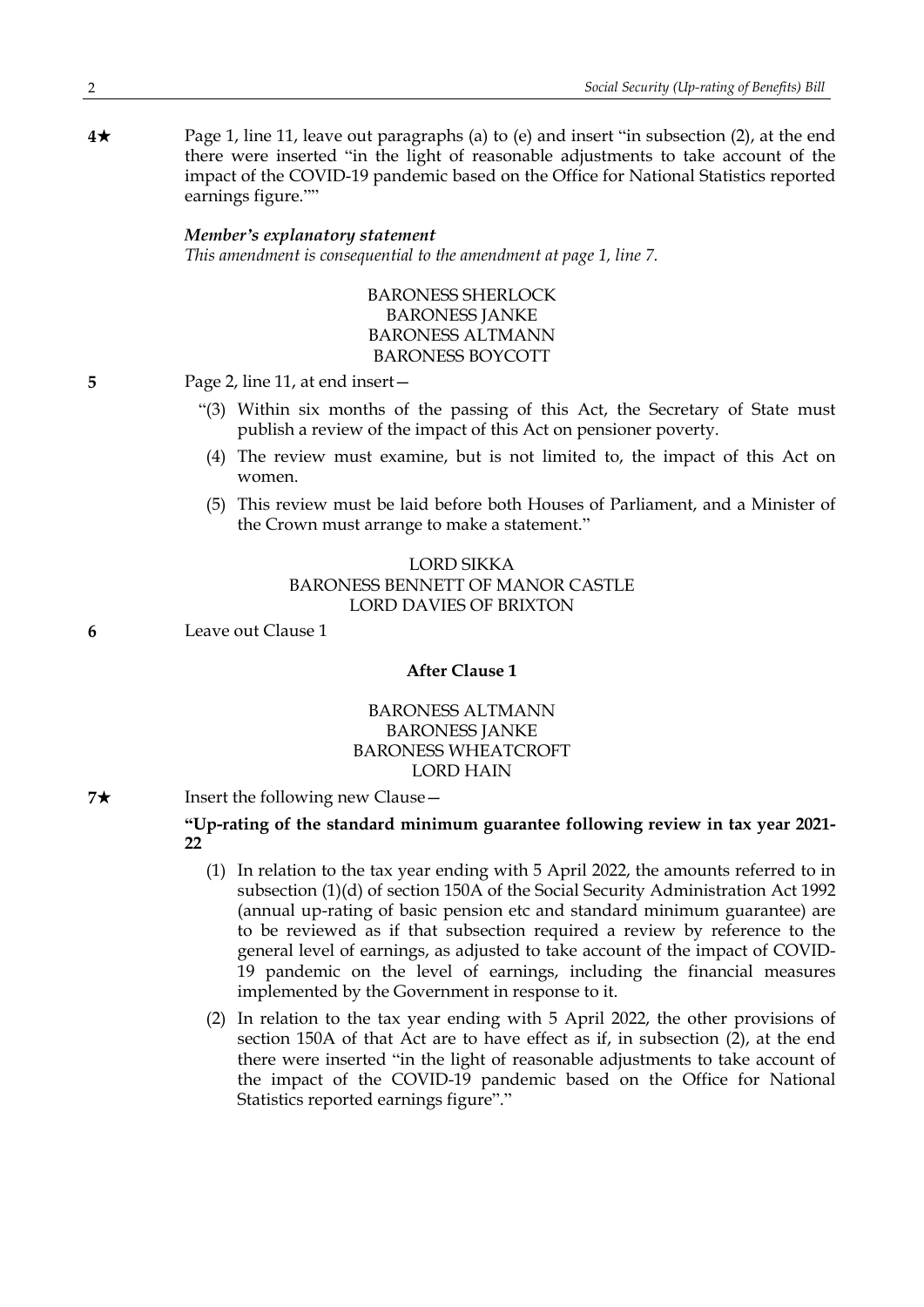**4★** Page 1, line 11, leave out paragraphs (a) to (e) and insert "in subsection (2), at the end there were inserted "in the light of reasonable adjustments to take account of the impact of the COVID-19 pandemic based on the Office for National Statistics reported earnings figure.""

#### *Member's explanatory statement*

*This amendment is consequential to the amendment at page 1, line 7.*

BARONESS SHERLOCK BARONESS JANKE BARONESS ALTMANN BARONESS BOYCOTT

**5** Page 2, line 11, at end insert—

- "(3) Within six months of the passing of this Act, the Secretary of State must publish a review of the impact of this Act on pensioner poverty.
- (4) The review must examine, but is not limited to, the impact of this Act on women.
- (5) This review must be laid before both Houses of Parliament, and a Minister of the Crown must arrange to make a statement."

### LORD SIKKA BARONESS BENNETT OF MANOR CASTLE LORD DAVIES OF BRIXTON

**6** Leave out Clause 1

#### **After Clause 1**

# BARONESS ALTMANN BARONESS JANKE BARONESS WHEATCROFT LORD HAIN

**7★** Insert the following new Clause —

## **"Up-rating of the standard minimum guarantee following review in tax year 2021- 22**

- (1) In relation to the tax year ending with 5 April 2022, the amounts referred to in subsection (1)(d) of section 150A of the Social Security Administration Act 1992 (annual up-rating of basic pension etc and standard minimum guarantee) are to be reviewed as if that subsection required a review by reference to the general level of earnings, as adjusted to take account of the impact of COVID-19 pandemic on the level of earnings, including the financial measures implemented by the Government in response to it.
- (2) In relation to the tax year ending with 5 April 2022, the other provisions of section 150A of that Act are to have effect as if, in subsection (2), at the end there were inserted "in the light of reasonable adjustments to take account of the impact of the COVID-19 pandemic based on the Office for National Statistics reported earnings figure"."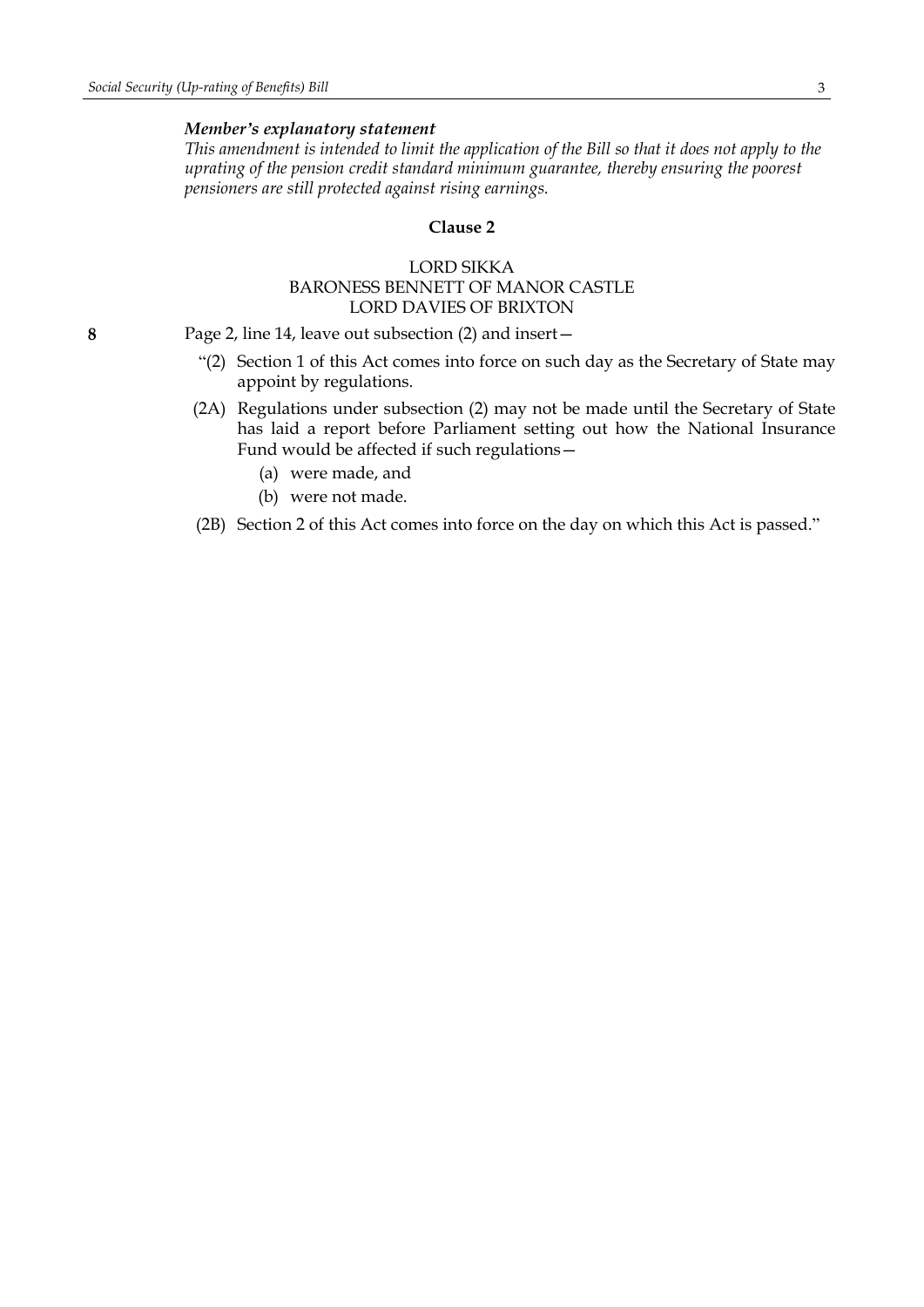#### *Member's explanatory statement*

This amendment is intended to limit the application of the Bill so that it does not apply to the *uprating of the pension credit standard minimum guarantee, thereby ensuring the poorest pensioners are still protected against rising earnings.*

#### **Clause 2**

#### LORD SIKKA BARONESS BENNETT OF MANOR CASTLE LORD DAVIES OF BRIXTON

**8** Page 2, line 14, leave out subsection (2) and insert—

- "(2) Section 1 of this Act comes into force on such day as the Secretary of State may appoint by regulations.
- (2A) Regulations under subsection (2) may not be made until the Secretary of State has laid a report before Parliament setting out how the National Insurance Fund would be affected if such regulations—
	- (a) were made, and
	- (b) were not made.
- (2B) Section 2 of this Act comes into force on the day on which this Act is passed."